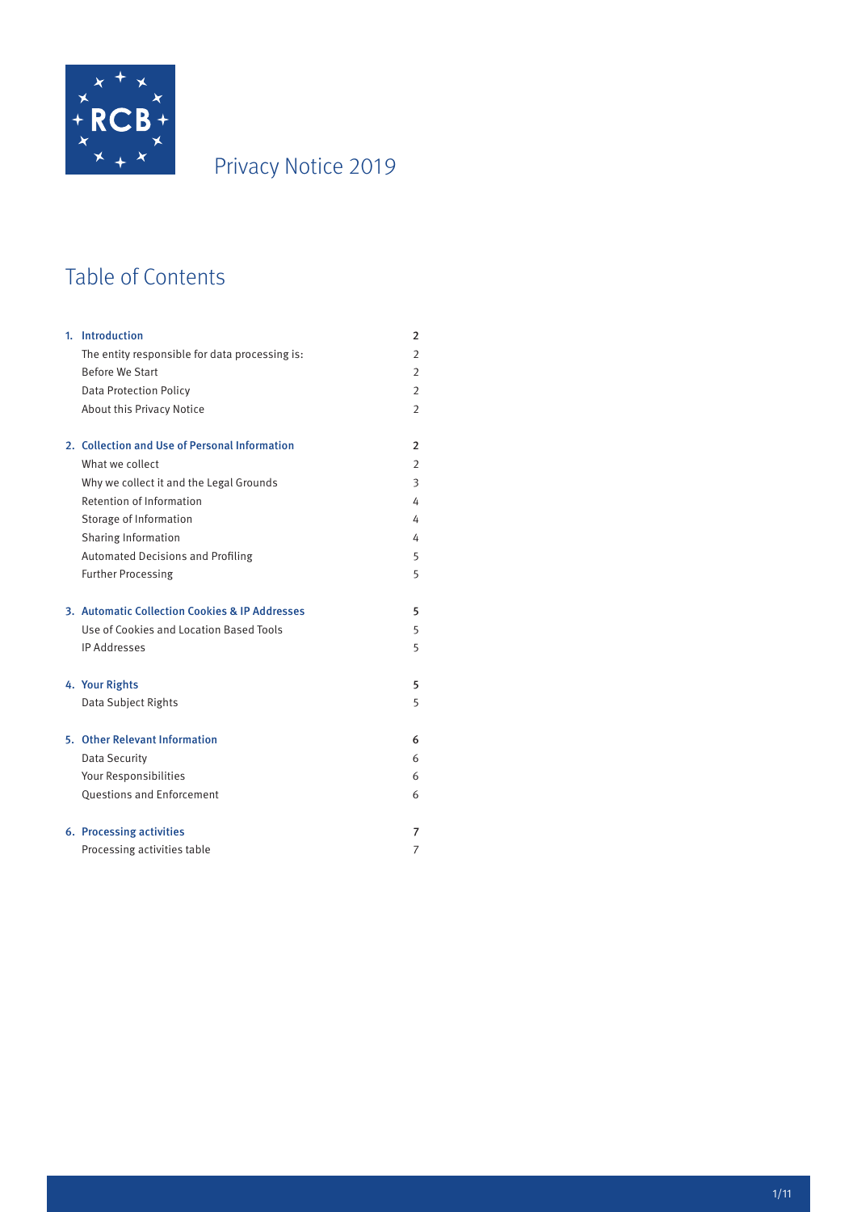

# Privacy Notice 2019

# Table of Contents

| 1. Introduction                                | $\overline{2}$ |
|------------------------------------------------|----------------|
| The entity responsible for data processing is: | $\overline{2}$ |
| <b>Before We Start</b>                         | $\overline{2}$ |
| <b>Data Protection Policy</b>                  | $\overline{2}$ |
| About this Privacy Notice                      | $\overline{2}$ |
| 2. Collection and Use of Personal Information  | $\overline{2}$ |
| What we collect                                | $\overline{2}$ |
| Why we collect it and the Legal Grounds        | 3              |
| Retention of Information                       | 4              |
| Storage of Information                         | 4              |
| Sharing Information                            | 4              |
| <b>Automated Decisions and Profiling</b>       | 5              |
| <b>Further Processing</b>                      | 5              |
| 3. Automatic Collection Cookies & IP Addresses | 5              |
| Use of Cookies and Location Based Tools        | 5              |
| <b>IP Addresses</b>                            | 5              |
| 4. Your Rights                                 | 5              |
| Data Subject Rights                            | 5              |
| 5. Other Relevant Information                  | 6              |
| <b>Data Security</b>                           | 6              |
| Your Responsibilities                          | 6              |
| <b>Ouestions and Enforcement</b>               | 6              |
| 6. Processing activities                       | 7              |
| Processing activities table                    | 7              |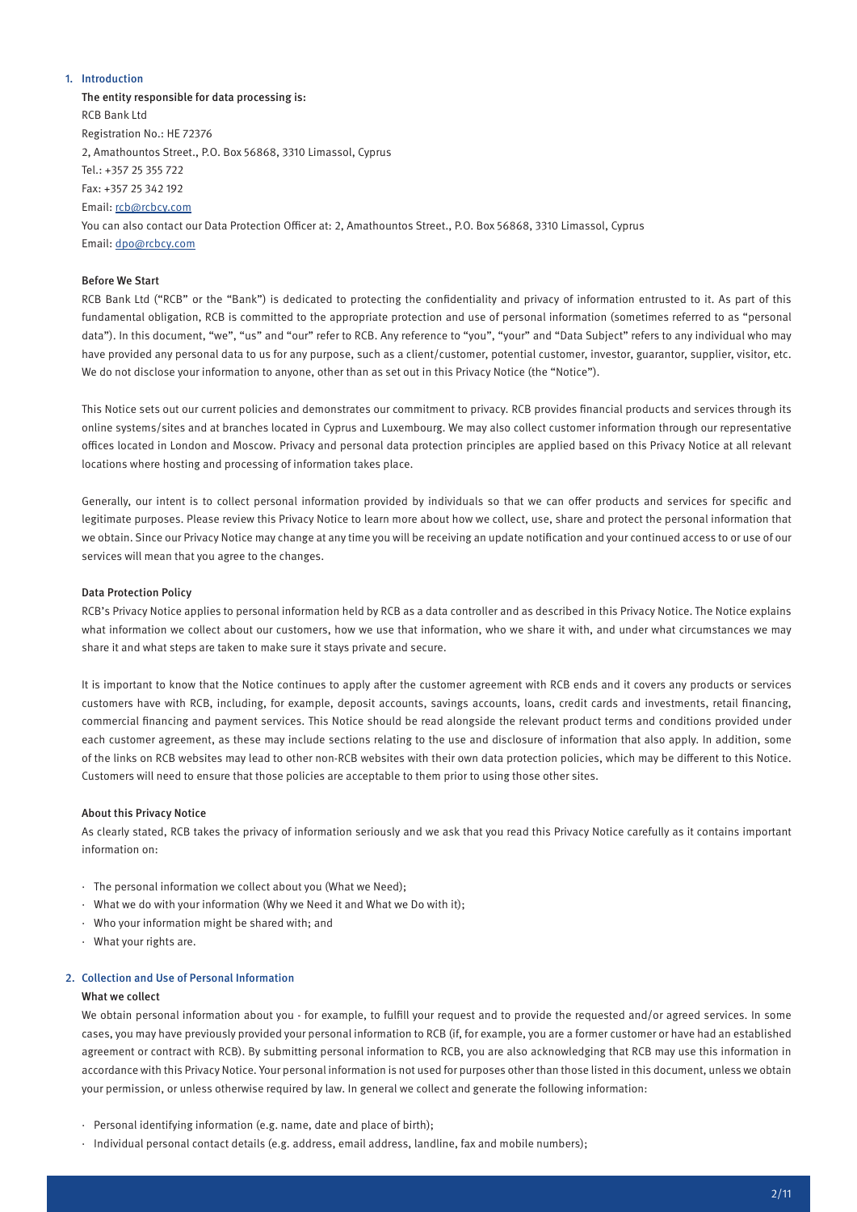# 1. Introduction

The entity responsible for data processing is: RCB Bank Ltd Registration No.: HE 72376 2, Amathountos Street., P.O. Box 56868, 3310 Limassol, Cyprus Tel.: +357 25 355 722 Fax: +357 25 342 192 Email: rcb@rcbcy.com You can also contact our Data Protection Officer at: 2, Amathountos Street., P.O. Box 56868, 3310 Limassol, Cyprus Email: dpo@rcbcy.com

# Before We Start

RCB Bank Ltd ("RCB" or the "Bank") is dedicated to protecting the confidentiality and privacy of information entrusted to it. As part of this fundamental obligation, RCB is committed to the appropriate protection and use of personal information (sometimes referred to as "personal data"). In this document, "we", "us" and "our" refer to RCB. Any reference to "you", "your" and "Data Subject" refers to any individual who may have provided any personal data to us for any purpose, such as a client/customer, potential customer, investor, guarantor, supplier, visitor, etc. We do not disclose your information to anyone, other than as set out in this Privacy Notice (the "Notice").

This Notice sets out our current policies and demonstrates our commitment to privacy. RCB provides financial products and services through its online systems/sites and at branches located in Cyprus and Luxembourg. We may also collect customer information through our representative offices located in London and Moscow. Privacy and personal data protection principles are applied based on this Privacy Notice at all relevant locations where hosting and processing of information takes place.

Generally, our intent is to collect personal information provided by individuals so that we can offer products and services for specific and legitimate purposes. Please review this Privacy Notice to learn more about how we collect, use, share and protect the personal information that we obtain. Since our Privacy Notice may change at any time you will be receiving an update notification and your continued access to or use of our services will mean that you agree to the changes.

# Data Protection Policy

RCB's Privacy Notice applies to personal information held by RCB as a data controller and as described in this Privacy Notice. The Notice explains what information we collect about our customers, how we use that information, who we share it with, and under what circumstances we may share it and what steps are taken to make sure it stays private and secure.

It is important to know that the Notice continues to apply after the customer agreement with RCB ends and it covers any products or services customers have with RCB, including, for example, deposit accounts, savings accounts, loans, credit cards and investments, retail financing, commercial financing and payment services. This Notice should be read alongside the relevant product terms and conditions provided under each customer agreement, as these may include sections relating to the use and disclosure of information that also apply. In addition, some of the links on RCB websites may lead to other non-RCB websites with their own data protection policies, which may be different to this Notice. Customers will need to ensure that those policies are acceptable to them prior to using those other sites.

#### About this Privacy Notice

As clearly stated, RCB takes the privacy of information seriously and we ask that you read this Privacy Notice carefully as it contains important information on:

- · The personal information we collect about you (What we Need);
- · What we do with your information (Why we Need it and What we Do with it);
- · Who your information might be shared with; and
- · What your rights are.

#### 2. Collection and Use of Personal Information

#### What we collect

We obtain personal information about you - for example, to fulfill your request and to provide the requested and/or agreed services. In some cases, you may have previously provided your personal information to RCB (if, for example, you are a former customer or have had an established agreement or contract with RCB). By submitting personal information to RCB, you are also acknowledging that RCB may use this information in accordance with this Privacy Notice. Your personal information is not used for purposes other than those listed in this document, unless we obtain your permission, or unless otherwise required by law. In general we collect and generate the following information:

- · Personal identifying information (e.g. name, date and place of birth);
- · Individual personal contact details (e.g. address, email address, landline, fax and mobile numbers);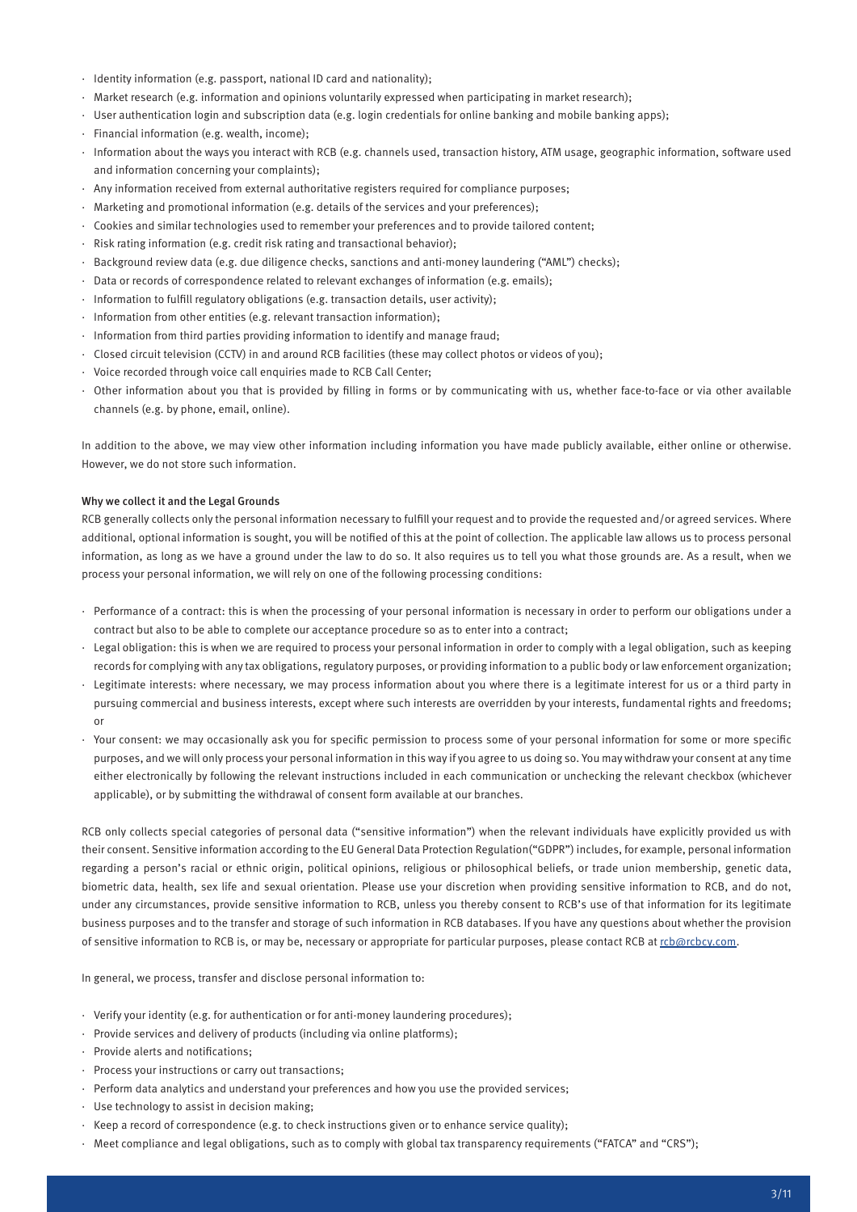- · Identity information (e.g. passport, national ID card and nationality);
- · Market research (e.g. information and opinions voluntarily expressed when participating in market research);
- · User authentication login and subscription data (e.g. login credentials for online banking and mobile banking apps);
- · Financial information (e.g. wealth, income);
- · Information about the ways you interact with RCB (e.g. channels used, transaction history, ATM usage, geographic information, software used and information concerning your complaints);
- · Any information received from external authoritative registers required for compliance purposes;
- · Marketing and promotional information (e.g. details of the services and your preferences);
- · Cookies and similar technologies used to remember your preferences and to provide tailored content;
- · Risk rating information (e.g. credit risk rating and transactional behavior);
- · Background review data (e.g. due diligence checks, sanctions and anti-money laundering ("AML") checks);
- · Data or records of correspondence related to relevant exchanges of information (e.g. emails);
- · Information to fulfill regulatory obligations (e.g. transaction details, user activity);
- · Information from other entities (e.g. relevant transaction information);
- · Information from third parties providing information to identify and manage fraud;
- · Closed circuit television (CCTV) in and around RCB facilities (these may collect photos or videos of you);
- · Voice recorded through voice call enquiries made to RCB Call Center;
- · Other information about you that is provided by filling in forms or by communicating with us, whether face-to-face or via other available channels (e.g. by phone, email, online).

In addition to the above, we may view other information including information you have made publicly available, either online or otherwise. However, we do not store such information.

# Why we collect it and the Legal Grounds

RCB generally collects only the personal information necessary to fulfill your request and to provide the requested and/or agreed services. Where additional, optional information is sought, you will be notified of this at the point of collection. The applicable law allows us to process personal information, as long as we have a ground under the law to do so. It also requires us to tell you what those grounds are. As a result, when we process your personal information, we will rely on one of the following processing conditions:

- · Performance of a contract: this is when the processing of your personal information is necessary in order to perform our obligations under a contract but also to be able to complete our acceptance procedure so as to enter into a contract;
- · Legal obligation: this is when we are required to process your personal information in order to comply with a legal obligation, such as keeping records for complying with any tax obligations, regulatory purposes, or providing information to a public body or law enforcement organization;
- · Legitimate interests: where necessary, we may process information about you where there is a legitimate interest for us or a third party in pursuing commercial and business interests, except where such interests are overridden by your interests, fundamental rights and freedoms; or
- · Your consent: we may occasionally ask you for specific permission to process some of your personal information for some or more specific purposes, and we will only process your personal information in this way if you agree to us doing so. You may withdraw your consent at any time either electronically by following the relevant instructions included in each communication or unchecking the relevant checkbox (whichever applicable), or by submitting the withdrawal of consent form available at our branches.

RCB only collects special categories of personal data ("sensitive information") when the relevant individuals have explicitly provided us with their consent. Sensitive information according to the EU General Data Protection Regulation("GDPR") includes, for example, personal information regarding a person's racial or ethnic origin, political opinions, religious or philosophical beliefs, or trade union membership, genetic data, biometric data, health, sex life and sexual orientation. Please use your discretion when providing sensitive information to RCB, and do not, under any circumstances, provide sensitive information to RCB, unless you thereby consent to RCB's use of that information for its legitimate business purposes and to the transfer and storage of such information in RCB databases. If you have any questions about whether the provision of sensitive information to RCB is, or may be, necessary or appropriate for particular purposes, please contact RCB at rcb@rcbcy.com.

In general, we process, transfer and disclose personal information to:

- · Verify your identity (e.g. for authentication or for anti-money laundering procedures);
- · Provide services and delivery of products (including via online platforms);
- · Provide alerts and notifications;
- · Process your instructions or carry out transactions;
- · Perform data analytics and understand your preferences and how you use the provided services;
- · Use technology to assist in decision making;
- · Keep a record of correspondence (e.g. to check instructions given or to enhance service quality);
- · Meet compliance and legal obligations, such as to comply with global tax transparency requirements ("FATCA" and "CRS");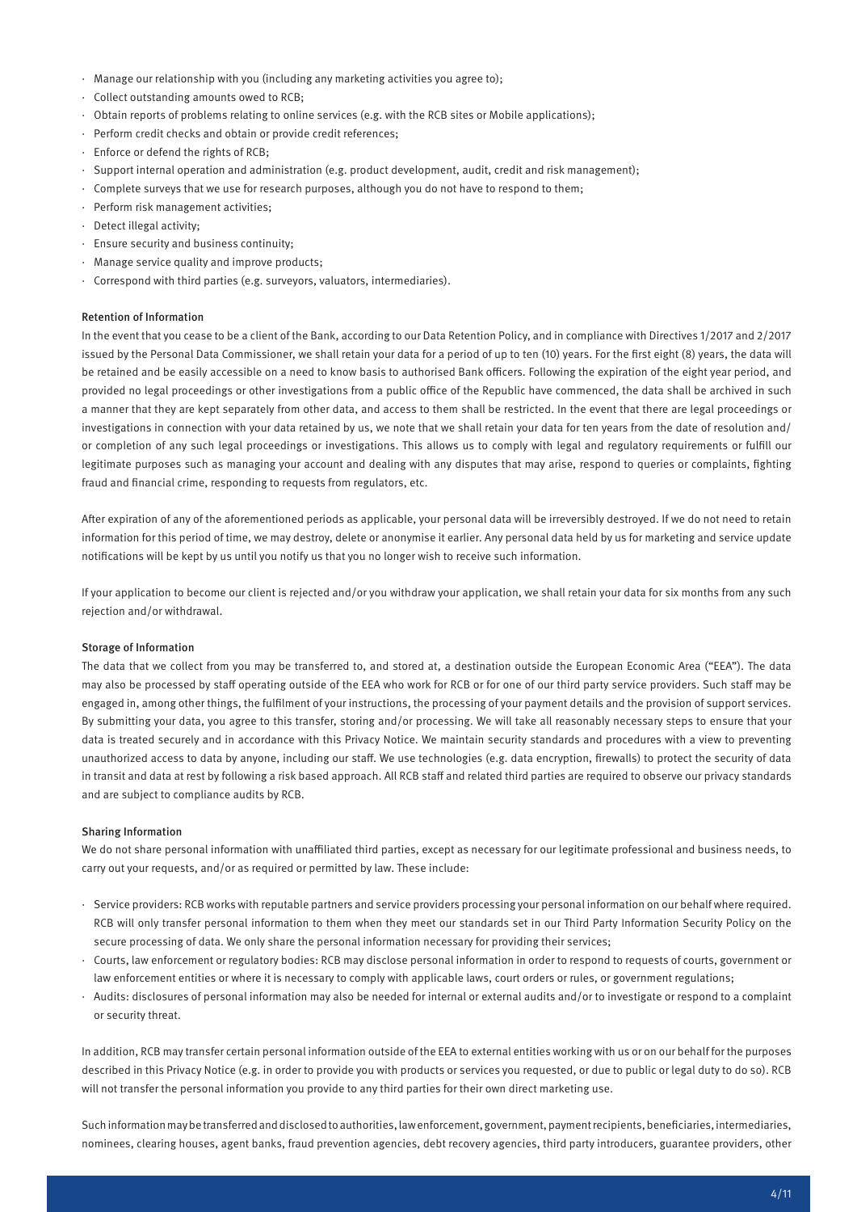- · Manage our relationship with you (including any marketing activities you agree to);
- · Collect outstanding amounts owed to RCB;
- · Obtain reports of problems relating to online services (e.g. with the RCB sites or Mobile applications);
- · Perform credit checks and obtain or provide credit references;
- · Enforce or defend the rights of RCB;
- · Support internal operation and administration (e.g. product development, audit, credit and risk management);
- · Complete surveys that we use for research purposes, although you do not have to respond to them;
- · Perform risk management activities;
- · Detect illegal activity;
- · Ensure security and business continuity;
- · Manage service quality and improve products;
- · Correspond with third parties (e.g. surveyors, valuators, intermediaries).

# Retention of Information

In the event that you cease to be a client of the Bank, according to our Data Retention Policy, and in compliance with Directives 1/2017 and 2/2017 issued by the Personal Data Commissioner, we shall retain your data for a period of up to ten (10) years. For the first eight (8) years, the data will be retained and be easily accessible on a need to know basis to authorised Bank officers. Following the expiration of the eight year period, and provided no legal proceedings or other investigations from a public office of the Republic have commenced, the data shall be archived in such a manner that they are kept separately from other data, and access to them shall be restricted. In the event that there are legal proceedings or investigations in connection with your data retained by us, we note that we shall retain your data for ten years from the date of resolution and/ or completion of any such legal proceedings or investigations. This allows us to comply with legal and regulatory requirements or fulfill our legitimate purposes such as managing your account and dealing with any disputes that may arise, respond to queries or complaints, fighting fraud and financial crime, responding to requests from regulators, etc.

After expiration of any of the aforementioned periods as applicable, your personal data will be irreversibly destroyed. If we do not need to retain information for this period of time, we may destroy, delete or anonymise it earlier. Any personal data held by us for marketing and service update notifications will be kept by us until you notify us that you no longer wish to receive such information.

If your application to become our client is rejected and/or you withdraw your application, we shall retain your data for six months from any such rejection and/or withdrawal.

#### Storage of Information

The data that we collect from you may be transferred to, and stored at, a destination outside the European Economic Area ("EEA"). The data may also be processed by staff operating outside of the EEA who work for RCB or for one of our third party service providers. Such staff may be engaged in, among other things, the fulfilment of your instructions, the processing of your payment details and the provision of support services. By submitting your data, you agree to this transfer, storing and/or processing. We will take all reasonably necessary steps to ensure that your data is treated securely and in accordance with this Privacy Notice. We maintain security standards and procedures with a view to preventing unauthorized access to data by anyone, including our staff. We use technologies (e.g. data encryption, firewalls) to protect the security of data in transit and data at rest by following a risk based approach. All RCB staff and related third parties are required to observe our privacy standards and are subject to compliance audits by RCB.

#### Sharing Information

We do not share personal information with unaffiliated third parties, except as necessary for our legitimate professional and business needs, to carry out your requests, and/or as required or permitted by law. These include:

- · Service providers: RCB works with reputable partners and service providers processing your personal information on our behalf where required. RCB will only transfer personal information to them when they meet our standards set in our Third Party Information Security Policy on the secure processing of data. We only share the personal information necessary for providing their services;
- · Courts, law enforcement or regulatory bodies: RCB may disclose personal information in order to respond to requests of courts, government or law enforcement entities or where it is necessary to comply with applicable laws, court orders or rules, or government regulations;
- · Audits: disclosures of personal information may also be needed for internal or external audits and/or to investigate or respond to a complaint or security threat.

In addition, RCB may transfer certain personal information outside of the EEA to external entities working with us or on our behalf for the purposes described in this Privacy Notice (e.g. in order to provide you with products or services you requested, or due to public or legal duty to do so). RCB will not transfer the personal information you provide to any third parties for their own direct marketing use.

Such information may be transferred and disclosed to authorities, law enforcement, government, payment recipients, beneficiaries, intermediaries, nominees, clearing houses, agent banks, fraud prevention agencies, debt recovery agencies, third party introducers, guarantee providers, other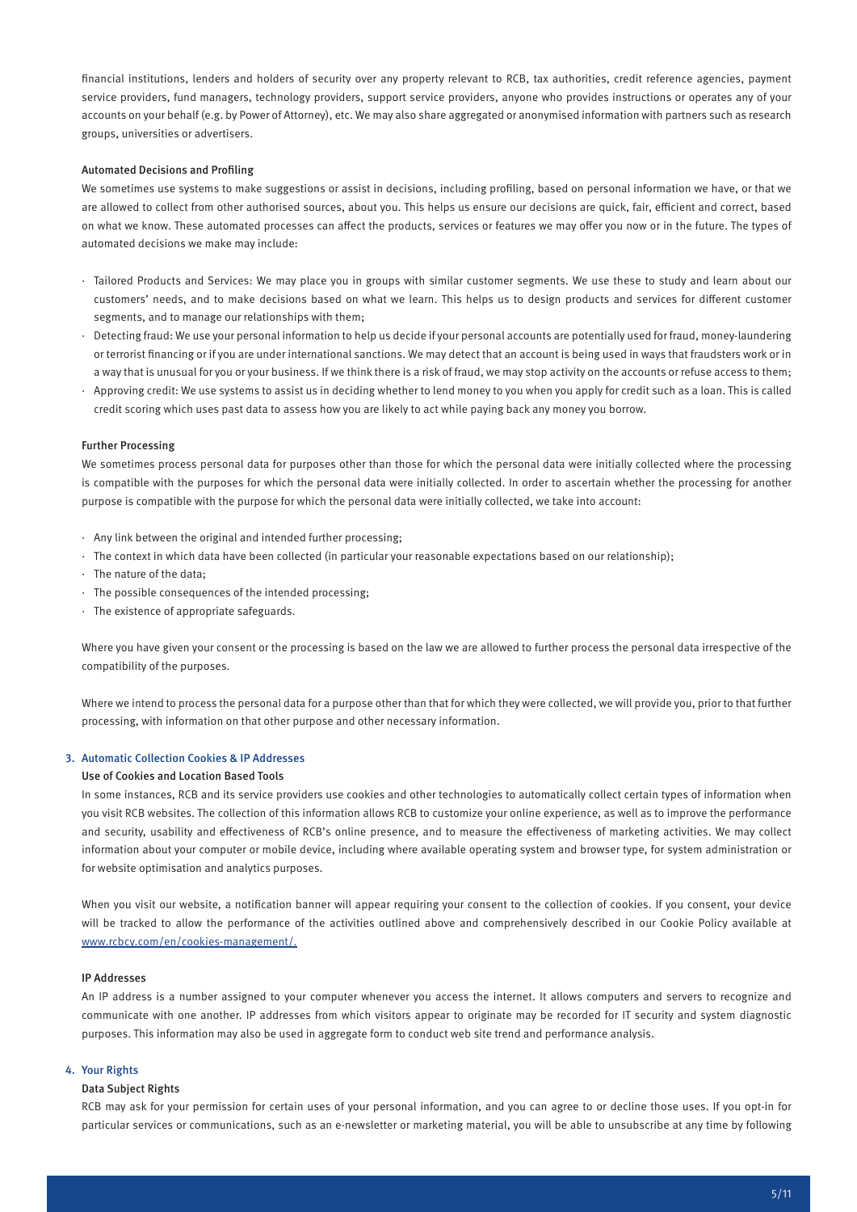financial institutions, lenders and holders of security over any property relevant to RCB, tax authorities, credit reference agencies, payment service providers, fund managers, technology providers, support service providers, anyone who provides instructions or operates any of your accounts on your behalf (e.g. by Power of Attorney), etc. We may also share aggregated or anonymised information with partners such as research groups, universities or advertisers.

#### Automated Decisions and Profiling

We sometimes use systems to make suggestions or assist in decisions, including profiling, based on personal information we have, or that we are allowed to collect from other authorised sources, about you. This helps us ensure our decisions are quick, fair, efficient and correct, based on what we know. These automated processes can affect the products, services or features we may offer you now or in the future. The types of automated decisions we make may include:

- · Tailored Products and Services: We may place you in groups with similar customer segments. We use these to study and learn about our customers' needs, and to make decisions based on what we learn. This helps us to design products and services for different customer segments, and to manage our relationships with them;
- · Detecting fraud: We use your personal information to help us decide if your personal accounts are potentially used for fraud, money-laundering or terrorist financing or if you are under international sanctions. We may detect that an account is being used in ways that fraudsters work or in a way that is unusual for you or your business. If we think there is a risk of fraud, we may stop activity on the accounts or refuse access to them;
- · Approving credit: We use systems to assist us in deciding whether to lend money to you when you apply for credit such as a loan. This is called credit scoring which uses past data to assess how you are likely to act while paying back any money you borrow.

#### Further Processing

We sometimes process personal data for purposes other than those for which the personal data were initially collected where the processing is compatible with the purposes for which the personal data were initially collected. In order to ascertain whether the processing for another purpose is compatible with the purpose for which the personal data were initially collected, we take into account:

- · Any link between the original and intended further processing;
- · The context in which data have been collected (in particular your reasonable expectations based on our relationship);
- · The nature of the data;
- · The possible consequences of the intended processing;
- · The existence of appropriate safeguards.

Where you have given your consent or the processing is based on the law we are allowed to further process the personal data irrespective of the compatibility of the purposes.

Where we intend to process the personal data for a purpose other than that for which they were collected, we will provide you, prior to that further processing, with information on that other purpose and other necessary information.

### 3. Automatic Collection Cookies & IP Addresses

### Use of Cookies and Location Based Tools

In some instances, RCB and its service providers use cookies and other technologies to automatically collect certain types of information when you visit RCB websites. The collection of this information allows RCB to customize your online experience, as well as to improve the performance and security, usability and effectiveness of RCB's online presence, and to measure the effectiveness of marketing activities. We may collect information about your computer or mobile device, including where available operating system and browser type, for system administration or for website optimisation and analytics purposes.

When you visit our website, a notification banner will appear requiring your consent to the collection of cookies. If you consent, your device will be tracked to allow the performance of the activities outlined above and comprehensively described in our Cookie Policy available at www.rcbcy.com/en/cookies-management/.

#### IP Addresses

An IP address is a number assigned to your computer whenever you access the internet. It allows computers and servers to recognize and communicate with one another. IP addresses from which visitors appear to originate may be recorded for IT security and system diagnostic purposes. This information may also be used in aggregate form to conduct web site trend and performance analysis.

#### 4. Your Rights

#### Data Subject Rights

RCB may ask for your permission for certain uses of your personal information, and you can agree to or decline those uses. If you opt-in for particular services or communications, such as an e-newsletter or marketing material, you will be able to unsubscribe at any time by following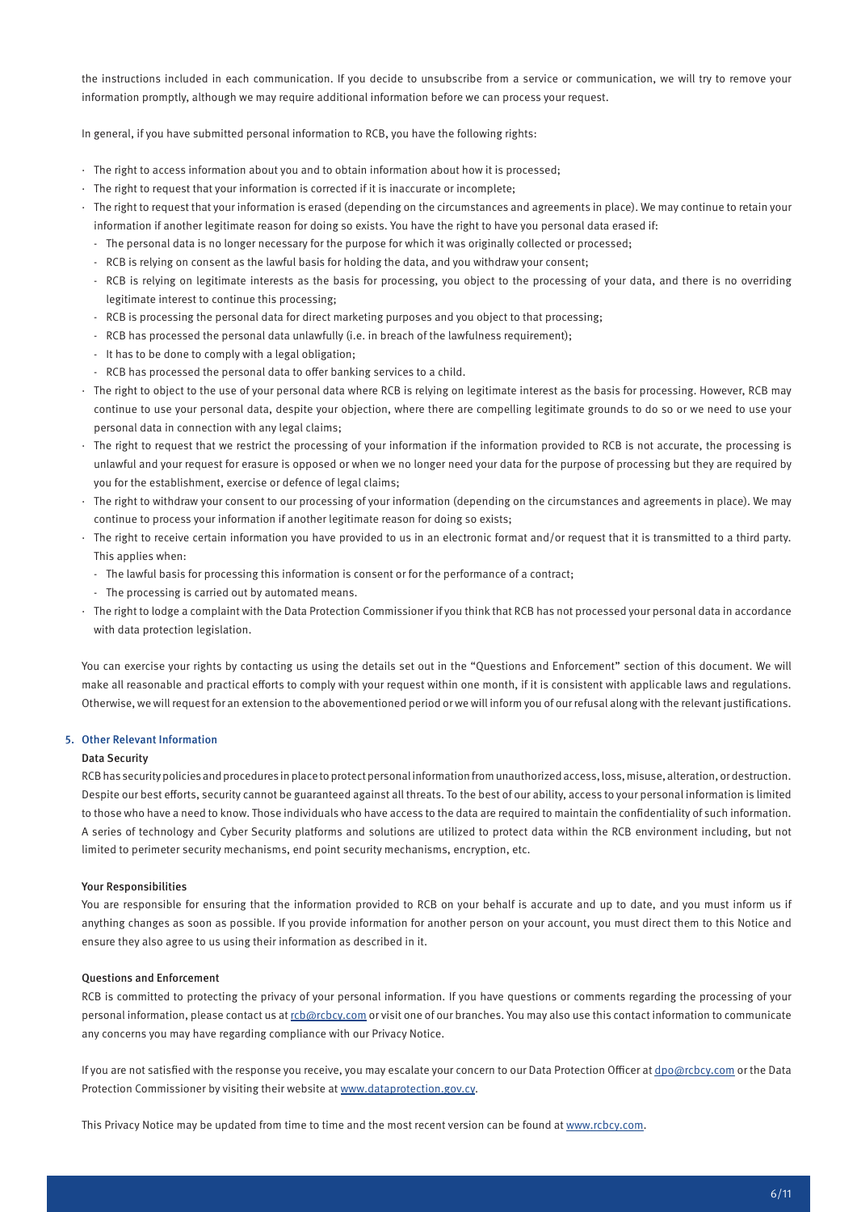the instructions included in each communication. If you decide to unsubscribe from a service or communication, we will try to remove your information promptly, although we may require additional information before we can process your request.

In general, if you have submitted personal information to RCB, you have the following rights:

- · The right to access information about you and to obtain information about how it is processed;
- · The right to request that your information is corrected if it is inaccurate or incomplete;
- · The right to request that your information is erased (depending on the circumstances and agreements in place). We may continue to retain your information if another legitimate reason for doing so exists. You have the right to have you personal data erased if:
	- The personal data is no longer necessary for the purpose for which it was originally collected or processed;
	- RCB is relying on consent as the lawful basis for holding the data, and you withdraw your consent;
	- RCB is relying on legitimate interests as the basis for processing, you object to the processing of your data, and there is no overriding legitimate interest to continue this processing;
	- RCB is processing the personal data for direct marketing purposes and you object to that processing;
	- RCB has processed the personal data unlawfully (i.e. in breach of the lawfulness requirement);
	- It has to be done to comply with a legal obligation;
	- RCB has processed the personal data to offer banking services to a child.
- · The right to object to the use of your personal data where RCB is relying on legitimate interest as the basis for processing. However, RCB may continue to use your personal data, despite your objection, where there are compelling legitimate grounds to do so or we need to use your personal data in connection with any legal claims;
- · The right to request that we restrict the processing of your information if the information provided to RCB is not accurate, the processing is unlawful and your request for erasure is opposed or when we no longer need your data for the purpose of processing but they are required by you for the establishment, exercise or defence of legal claims;
- · The right to withdraw your consent to our processing of your information (depending on the circumstances and agreements in place). We may continue to process your information if another legitimate reason for doing so exists;
- · The right to receive certain information you have provided to us in an electronic format and/or request that it is transmitted to a third party. This applies when:
	- The lawful basis for processing this information is consent or for the performance of a contract;
	- The processing is carried out by automated means.
- · The right to lodge a complaint with the Data Protection Commissioner if you think that RCB has not processed your personal data in accordance with data protection legislation.

You can exercise your rights by contacting us using the details set out in the "Questions and Enforcement" section of this document. We will make all reasonable and practical efforts to comply with your request within one month, if it is consistent with applicable laws and regulations. Otherwise, we will request for an extension to the abovementioned period or we will inform you of our refusal along with the relevant justifications.

#### 5. Other Relevant Information

#### Data Security

RCB has security policies and procedures in place to protect personal information from unauthorized access, loss, misuse, alteration, or destruction. Despite our best efforts, security cannot be guaranteed against all threats. To the best of our ability, access to your personal information is limited to those who have a need to know. Those individuals who have access to the data are required to maintain the confidentiality of such information. A series of technology and Cyber Security platforms and solutions are utilized to protect data within the RCB environment including, but not limited to perimeter security mechanisms, end point security mechanisms, encryption, etc.

#### Your Responsibilities

You are responsible for ensuring that the information provided to RCB on your behalf is accurate and up to date, and you must inform us if anything changes as soon as possible. If you provide information for another person on your account, you must direct them to this Notice and ensure they also agree to us using their information as described in it.

#### Questions and Enforcement

RCB is committed to protecting the privacy of your personal information. If you have questions or comments regarding the processing of your personal information, please contact us at rcb@rcbcy.com or visit one of our branches. You may also use this contact information to communicate any concerns you may have regarding compliance with our Privacy Notice.

If you are not satisfied with the response you receive, you may escalate your concern to our Data Protection Officer at dpo@rcbcy.com or the Data Protection Commissioner by visiting their website at www.dataprotection.gov.cy.

This Privacy Notice may be updated from time to time and the most recent version can be found at www.rcbcy.com.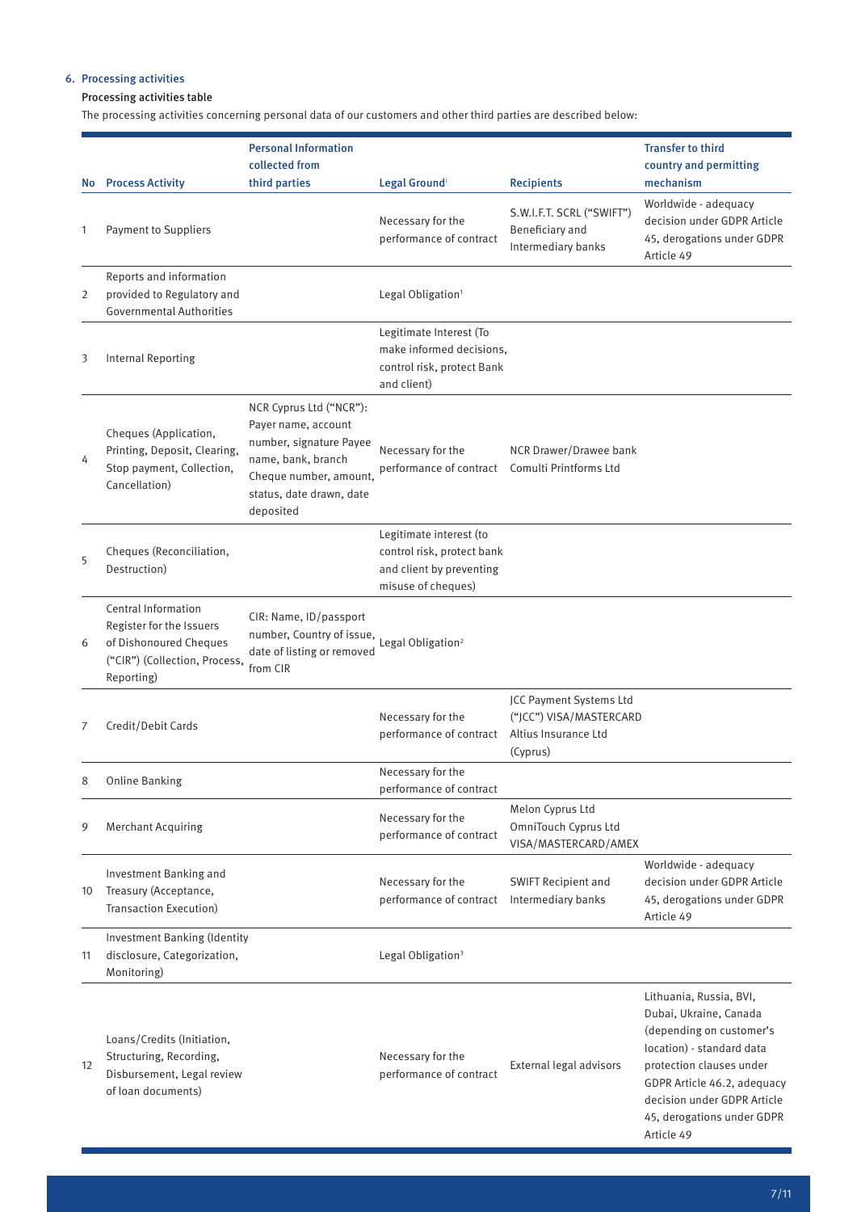# 6. Processing activities

# Processing activities table

The processing activities concerning personal data of our customers and other third parties are described below:

|     |                                                                                                                          | <b>Personal Information</b>                                                                                                                                        |                                                                                                         |                                                                    | <b>Transfer to third</b>                                                                                                                                                                                                                         |
|-----|--------------------------------------------------------------------------------------------------------------------------|--------------------------------------------------------------------------------------------------------------------------------------------------------------------|---------------------------------------------------------------------------------------------------------|--------------------------------------------------------------------|--------------------------------------------------------------------------------------------------------------------------------------------------------------------------------------------------------------------------------------------------|
| No. | <b>Process Activity</b>                                                                                                  | collected from<br>third parties                                                                                                                                    | Legal Groundi                                                                                           | <b>Recipients</b>                                                  | country and permitting<br>mechanism                                                                                                                                                                                                              |
| 1   | <b>Payment to Suppliers</b>                                                                                              |                                                                                                                                                                    | Necessary for the<br>performance of contract                                                            | S.W.I.F.T. SCRL ("SWIFT")<br>Beneficiary and<br>Intermediary banks | Worldwide - adequacy<br>decision under GDPR Article<br>45, derogations under GDPR<br>Article 49                                                                                                                                                  |
| 2   | Reports and information<br>provided to Regulatory and<br><b>Governmental Authorities</b>                                 |                                                                                                                                                                    | Legal Obligation <sup>1</sup>                                                                           |                                                                    |                                                                                                                                                                                                                                                  |
| 3   | <b>Internal Reporting</b>                                                                                                |                                                                                                                                                                    | Legitimate Interest (To<br>make informed decisions,<br>control risk, protect Bank<br>and client)        |                                                                    |                                                                                                                                                                                                                                                  |
| 4   | Cheques (Application,<br>Printing, Deposit, Clearing,<br>Stop payment, Collection,<br>Cancellation)                      | NCR Cyprus Ltd ("NCR"):<br>Payer name, account<br>number, signature Payee<br>name, bank, branch<br>Cheque number, amount,<br>status, date drawn, date<br>deposited | Necessary for the<br>performance of contract Comulti Printforms Ltd                                     | NCR Drawer/Drawee bank                                             |                                                                                                                                                                                                                                                  |
| 5   | Cheques (Reconciliation,<br>Destruction)                                                                                 |                                                                                                                                                                    | Legitimate interest (to<br>control risk, protect bank<br>and client by preventing<br>misuse of cheques) |                                                                    |                                                                                                                                                                                                                                                  |
| 6   | Central Information<br>Register for the Issuers<br>of Dishonoured Cheques<br>("CIR") (Collection, Process,<br>Reporting) | CIR: Name, ID/passport<br>number, Country of issue, Legal Obligation <sup>2</sup><br>date of listing or removed<br>from CIR                                        |                                                                                                         |                                                                    |                                                                                                                                                                                                                                                  |
| 7   | Credit/Debit Cards                                                                                                       |                                                                                                                                                                    | Necessary for the<br>performance of contract Altius Insurance Ltd                                       | JCC Payment Systems Ltd<br>("JCC") VISA/MASTERCARD<br>(Cyprus)     |                                                                                                                                                                                                                                                  |
| 8   | <b>Online Banking</b>                                                                                                    |                                                                                                                                                                    | Necessary for the<br>performance of contract                                                            |                                                                    |                                                                                                                                                                                                                                                  |
| 9   | <b>Merchant Acquiring</b>                                                                                                |                                                                                                                                                                    | Necessary for the<br>performance of contract                                                            | Melon Cyprus Ltd<br>OmniTouch Cyprus Ltd<br>VISA/MASTERCARD/AMEX   |                                                                                                                                                                                                                                                  |
| 10  | Investment Banking and<br>Treasury (Acceptance,<br>Transaction Execution)                                                |                                                                                                                                                                    | Necessary for the<br>performance of contract                                                            | SWIFT Recipient and<br>Intermediary banks                          | Worldwide - adequacy<br>decision under GDPR Article<br>45, derogations under GDPR<br>Article 49                                                                                                                                                  |
| 11  | <b>Investment Banking (Identity</b><br>disclosure, Categorization,<br>Monitoring)                                        |                                                                                                                                                                    | Legal Obligation <sup>3</sup>                                                                           |                                                                    |                                                                                                                                                                                                                                                  |
| 12  | Loans/Credits (Initiation,<br>Structuring, Recording,<br>Disbursement, Legal review<br>of loan documents)                |                                                                                                                                                                    | Necessary for the<br>performance of contract                                                            | External legal advisors                                            | Lithuania, Russia, BVI,<br>Dubai, Ukraine, Canada<br>(depending on customer's<br>location) - standard data<br>protection clauses under<br>GDPR Article 46.2, adequacy<br>decision under GDPR Article<br>45, derogations under GDPR<br>Article 49 |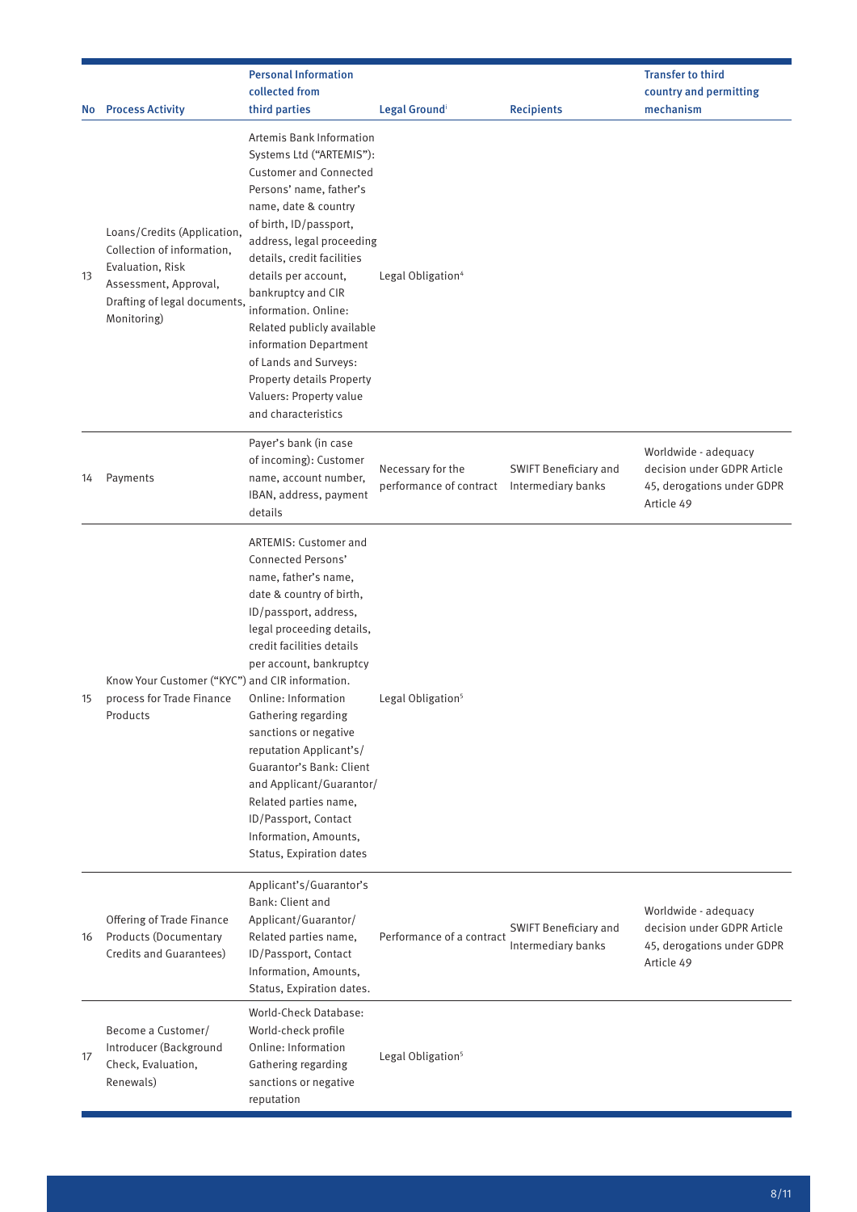|           |                                                                                                                                                       | <b>Personal Information</b>                                                                                                                                                                                                                                                                                                                                                                                                                                                          | <b>Transfer to third</b>                     |                                             |                                                                                                 |
|-----------|-------------------------------------------------------------------------------------------------------------------------------------------------------|--------------------------------------------------------------------------------------------------------------------------------------------------------------------------------------------------------------------------------------------------------------------------------------------------------------------------------------------------------------------------------------------------------------------------------------------------------------------------------------|----------------------------------------------|---------------------------------------------|-------------------------------------------------------------------------------------------------|
|           |                                                                                                                                                       | collected from                                                                                                                                                                                                                                                                                                                                                                                                                                                                       |                                              |                                             | country and permitting                                                                          |
| <b>No</b> | <b>Process Activity</b>                                                                                                                               | third parties                                                                                                                                                                                                                                                                                                                                                                                                                                                                        | Legal Groundi                                | <b>Recipients</b>                           | mechanism                                                                                       |
| 13        | Loans/Credits (Application,<br>Collection of information.<br>Evaluation, Risk<br>Assessment, Approval,<br>Drafting of legal documents,<br>Monitoring) | Artemis Bank Information<br>Systems Ltd ("ARTEMIS"):<br><b>Customer and Connected</b><br>Persons' name, father's<br>name, date & country<br>of birth, ID/passport,<br>address, legal proceeding<br>details, credit facilities<br>details per account,<br>bankruptcy and CIR<br>information. Online:<br>Related publicly available<br>information Department<br>of Lands and Surveys:<br>Property details Property<br>Valuers: Property value<br>and characteristics                  | Legal Obligation <sup>4</sup>                |                                             |                                                                                                 |
| 14        | Payments                                                                                                                                              | Payer's bank (in case<br>of incoming): Customer<br>name, account number,<br>IBAN, address, payment<br>details                                                                                                                                                                                                                                                                                                                                                                        | Necessary for the<br>performance of contract | SWIFT Beneficiary and<br>Intermediary banks | Worldwide - adequacy<br>decision under GDPR Article<br>45, derogations under GDPR<br>Article 49 |
| 15        | Know Your Customer ("KYC") and CIR information.<br>process for Trade Finance<br>Products                                                              | <b>ARTEMIS: Customer and</b><br>Connected Persons'<br>name, father's name,<br>date & country of birth,<br>ID/passport, address,<br>legal proceeding details,<br>credit facilities details<br>per account, bankruptcy<br>Online: Information<br>Gathering regarding<br>sanctions or negative<br>reputation Applicant's/<br>Guarantor's Bank: Client<br>and Applicant/Guarantor/<br>Related parties name,<br>ID/Passport, Contact<br>Information, Amounts,<br>Status, Expiration dates | Legal Obligation <sup>5</sup>                |                                             |                                                                                                 |
| 16        | Offering of Trade Finance<br><b>Products (Documentary</b><br>Credits and Guarantees)                                                                  | Applicant's/Guarantor's<br>Bank: Client and<br>Applicant/Guarantor/<br>Related parties name,<br>ID/Passport, Contact<br>Information, Amounts,<br>Status, Expiration dates.                                                                                                                                                                                                                                                                                                           | Performance of a contract                    | SWIFT Beneficiary and<br>Intermediary banks | Worldwide - adequacy<br>decision under GDPR Article<br>45, derogations under GDPR<br>Article 49 |
| 17        | Become a Customer/<br>Introducer (Background<br>Check, Evaluation,<br>Renewals)                                                                       | World-Check Database:<br>World-check profile<br>Online: Information<br>Gathering regarding<br>sanctions or negative<br>reputation                                                                                                                                                                                                                                                                                                                                                    | Legal Obligation <sup>5</sup>                |                                             |                                                                                                 |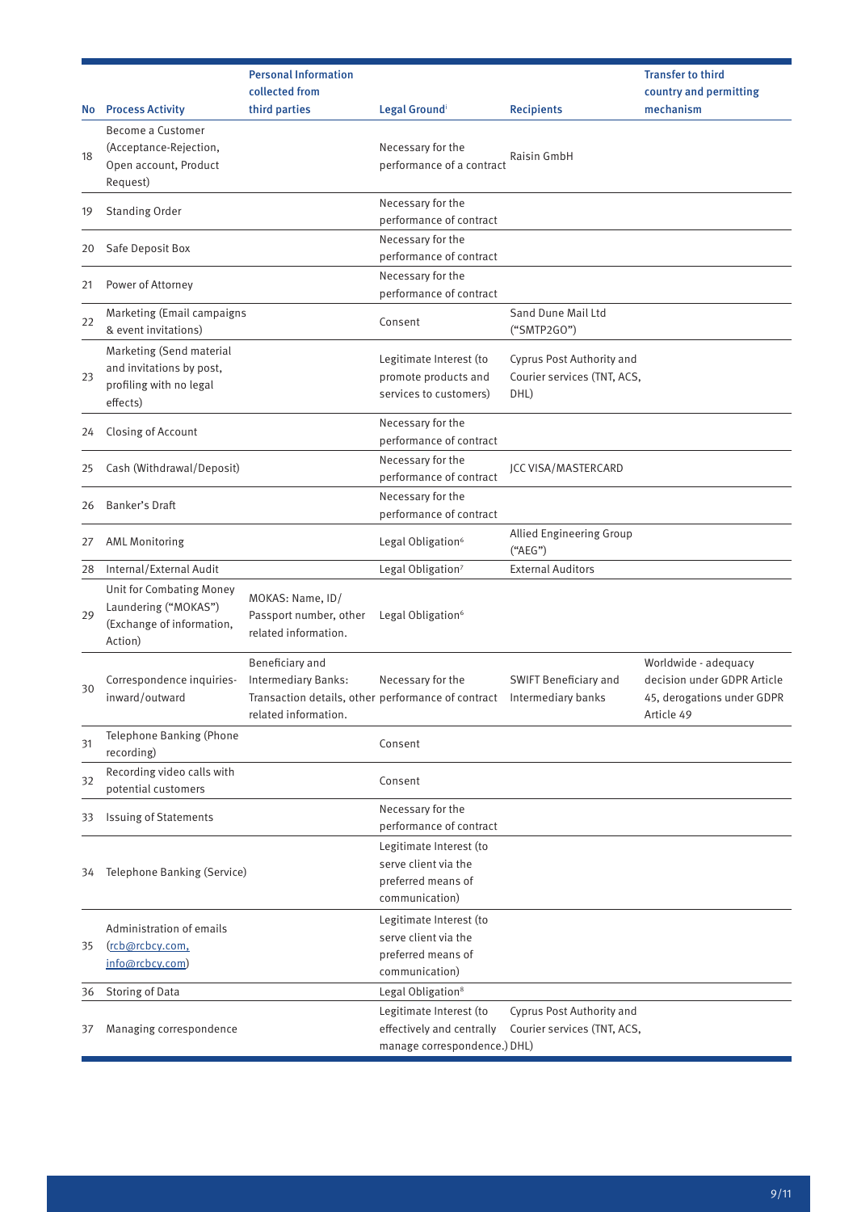|    |                                                                                             | <b>Personal Information</b>                                                                                          |                                                                                         |                                                                  | <b>Transfer to third</b>                                                                        |
|----|---------------------------------------------------------------------------------------------|----------------------------------------------------------------------------------------------------------------------|-----------------------------------------------------------------------------------------|------------------------------------------------------------------|-------------------------------------------------------------------------------------------------|
| No | <b>Process Activity</b>                                                                     | collected from<br>third parties                                                                                      | Legal Groundi                                                                           | <b>Recipients</b>                                                | country and permitting<br>mechanism                                                             |
| 18 | Become a Customer<br>(Acceptance-Rejection,<br>Open account, Product<br>Request)            |                                                                                                                      | Necessary for the<br>performance of a contract                                          | Raisin GmbH                                                      |                                                                                                 |
| 19 | <b>Standing Order</b>                                                                       |                                                                                                                      | Necessary for the<br>performance of contract                                            |                                                                  |                                                                                                 |
| 20 | Safe Deposit Box                                                                            |                                                                                                                      | Necessary for the<br>performance of contract                                            |                                                                  |                                                                                                 |
| 21 | Power of Attorney                                                                           |                                                                                                                      | Necessary for the<br>performance of contract                                            |                                                                  |                                                                                                 |
| 22 | Marketing (Email campaigns<br>& event invitations)                                          |                                                                                                                      | Consent                                                                                 | Sand Dune Mail Ltd<br>("SMTP2GO")                                |                                                                                                 |
| 23 | Marketing (Send material<br>and invitations by post,<br>profiling with no legal<br>effects) |                                                                                                                      | Legitimate Interest (to<br>promote products and<br>services to customers)               | Cyprus Post Authority and<br>Courier services (TNT, ACS,<br>DHL) |                                                                                                 |
| 24 | Closing of Account                                                                          |                                                                                                                      | Necessary for the<br>performance of contract                                            |                                                                  |                                                                                                 |
| 25 | Cash (Withdrawal/Deposit)                                                                   |                                                                                                                      | Necessary for the<br>performance of contract                                            | <b>JCC VISA/MASTERCARD</b>                                       |                                                                                                 |
| 26 | Banker's Draft                                                                              |                                                                                                                      | Necessary for the<br>performance of contract                                            |                                                                  |                                                                                                 |
| 27 | <b>AML Monitoring</b>                                                                       |                                                                                                                      | Legal Obligation <sup>6</sup>                                                           | Allied Engineering Group<br>("AEG")                              |                                                                                                 |
| 28 | Internal/External Audit                                                                     |                                                                                                                      | Legal Obligation <sup>7</sup>                                                           | <b>External Auditors</b>                                         |                                                                                                 |
| 29 | Unit for Combating Money<br>Laundering ("MOKAS")<br>(Exchange of information,<br>Action)    | MOKAS: Name, ID/<br>Passport number, other<br>related information.                                                   | Legal Obligation <sup>6</sup>                                                           |                                                                  |                                                                                                 |
| 30 | Correspondence inquiries-<br>inward/outward                                                 | Beneficiary and<br>Intermediary Banks:<br>Transaction details, other performance of contract<br>related information. | Necessary for the                                                                       | <b>SWIFT Beneficiary and</b><br>Intermediary banks               | Worldwide - adequacy<br>decision under GDPR Article<br>45, derogations under GDPR<br>Article 49 |
| 31 | Telephone Banking (Phone<br>recording)                                                      |                                                                                                                      | Consent                                                                                 |                                                                  |                                                                                                 |
| 32 | Recording video calls with<br>potential customers                                           |                                                                                                                      | Consent                                                                                 |                                                                  |                                                                                                 |
| 33 | <b>Issuing of Statements</b>                                                                |                                                                                                                      | Necessary for the<br>performance of contract                                            |                                                                  |                                                                                                 |
| 34 | Telephone Banking (Service)                                                                 |                                                                                                                      | Legitimate Interest (to<br>serve client via the<br>preferred means of<br>communication) |                                                                  |                                                                                                 |
| 35 | Administration of emails<br>(rcb@rcbcy.com,<br>info@rcbcy.com)                              |                                                                                                                      | Legitimate Interest (to<br>serve client via the<br>preferred means of<br>communication) |                                                                  |                                                                                                 |
| 36 | Storing of Data                                                                             |                                                                                                                      | Legal Obligation <sup>8</sup>                                                           |                                                                  |                                                                                                 |
| 37 | Managing correspondence                                                                     |                                                                                                                      | Legitimate Interest (to<br>effectively and centrally<br>manage correspondence.) DHL)    | Cyprus Post Authority and<br>Courier services (TNT, ACS,         |                                                                                                 |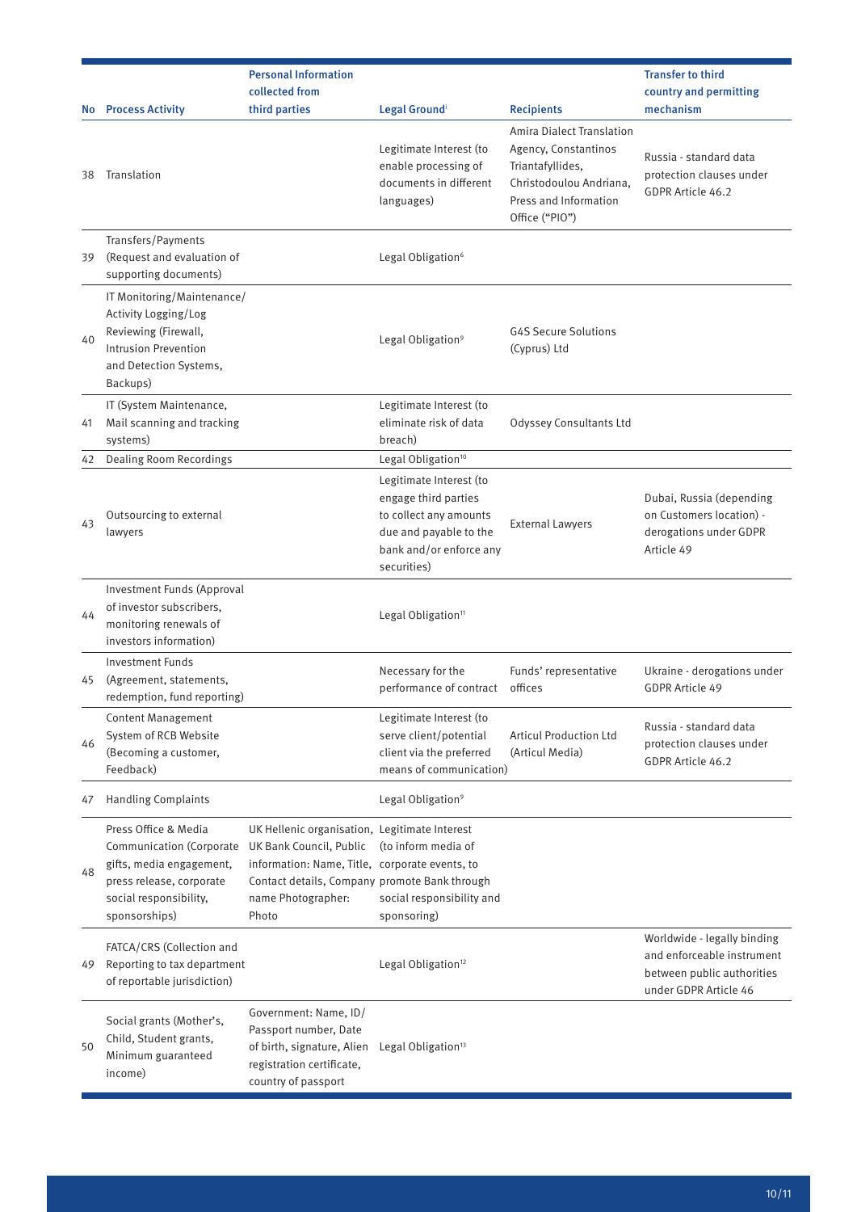| No.      | <b>Process Activity</b>                                                                                                                             | <b>Personal Information</b><br>collected from<br>third parties                                                                                                                                             | Legal Groundi                                                                                                                                                                   | <b>Recipients</b>                                                                                                                                  | <b>Transfer to third</b><br>country and permitting<br>mechanism                                                  |
|----------|-----------------------------------------------------------------------------------------------------------------------------------------------------|------------------------------------------------------------------------------------------------------------------------------------------------------------------------------------------------------------|---------------------------------------------------------------------------------------------------------------------------------------------------------------------------------|----------------------------------------------------------------------------------------------------------------------------------------------------|------------------------------------------------------------------------------------------------------------------|
| 38       | Translation                                                                                                                                         |                                                                                                                                                                                                            | Legitimate Interest (to<br>enable processing of<br>documents in different<br>languages)                                                                                         | <b>Amira Dialect Translation</b><br>Agency, Constantinos<br>Triantafyllides,<br>Christodoulou Andriana,<br>Press and Information<br>Office ("PIO") | Russia - standard data<br>protection clauses under<br>GDPR Article 46.2                                          |
| 39       | Transfers/Payments<br>(Request and evaluation of<br>supporting documents)                                                                           |                                                                                                                                                                                                            | Legal Obligation <sup>6</sup>                                                                                                                                                   |                                                                                                                                                    |                                                                                                                  |
| 40       | IT Monitoring/Maintenance/<br>Activity Logging/Log<br>Reviewing (Firewall,<br><b>Intrusion Prevention</b><br>and Detection Systems,<br>Backups)     |                                                                                                                                                                                                            | Legal Obligation <sup>9</sup>                                                                                                                                                   | <b>G4S Secure Solutions</b><br>(Cyprus) Ltd                                                                                                        |                                                                                                                  |
| 41       | IT (System Maintenance,<br>Mail scanning and tracking<br>systems)                                                                                   |                                                                                                                                                                                                            | Legitimate Interest (to<br>eliminate risk of data<br>breach)                                                                                                                    | Odyssey Consultants Ltd                                                                                                                            |                                                                                                                  |
| 42<br>43 | <b>Dealing Room Recordings</b><br>Outsourcing to external<br>lawyers                                                                                |                                                                                                                                                                                                            | Legal Obligation <sup>10</sup><br>Legitimate Interest (to<br>engage third parties<br>to collect any amounts<br>due and payable to the<br>bank and/or enforce any<br>securities) | <b>External Lawyers</b>                                                                                                                            | Dubai, Russia (depending<br>on Customers location) -<br>derogations under GDPR<br>Article 49                     |
| 44       | Investment Funds (Approval<br>of investor subscribers,<br>monitoring renewals of<br>investors information)                                          |                                                                                                                                                                                                            | Legal Obligation <sup>11</sup>                                                                                                                                                  |                                                                                                                                                    |                                                                                                                  |
| 45       | <b>Investment Funds</b><br>(Agreement, statements,<br>redemption, fund reporting)                                                                   |                                                                                                                                                                                                            | Necessary for the<br>performance of contract offices                                                                                                                            | Funds' representative                                                                                                                              | Ukraine - derogations under<br>GDPR Article 49                                                                   |
| 46       | <b>Content Management</b><br>System of RCB Website<br>(Becoming a customer,<br>Feedback)                                                            |                                                                                                                                                                                                            | Legitimate Interest (to<br>serve client/potential<br>client via the preferred<br>means of communication)                                                                        | <b>Articul Production Ltd</b><br>(Articul Media)                                                                                                   | Russia - standard data<br>protection clauses under<br>GDPR Article 46.2                                          |
| 47       | <b>Handling Complaints</b>                                                                                                                          |                                                                                                                                                                                                            | Legal Obligation <sup>9</sup>                                                                                                                                                   |                                                                                                                                                    |                                                                                                                  |
| 48       | Press Office & Media<br>Communication (Corporate<br>gifts, media engagement,<br>press release, corporate<br>social responsibility,<br>sponsorships) | UK Hellenic organisation, Legitimate Interest<br>UK Bank Council, Public<br>information: Name, Title, corporate events, to<br>Contact details, Company promote Bank through<br>name Photographer:<br>Photo | (to inform media of<br>social responsibility and<br>sponsoring)                                                                                                                 |                                                                                                                                                    |                                                                                                                  |
| 49       | FATCA/CRS (Collection and<br>Reporting to tax department<br>of reportable jurisdiction)                                                             |                                                                                                                                                                                                            | Legal Obligation <sup>12</sup>                                                                                                                                                  |                                                                                                                                                    | Worldwide - legally binding<br>and enforceable instrument<br>between public authorities<br>under GDPR Article 46 |
| 50       | Social grants (Mother's,<br>Child, Student grants,<br>Minimum guaranteed<br>income)                                                                 | Government: Name, ID/<br>Passport number, Date<br>of birth, signature, Alien<br>registration certificate,<br>country of passport                                                                           | Legal Obligation <sup>13</sup>                                                                                                                                                  |                                                                                                                                                    |                                                                                                                  |